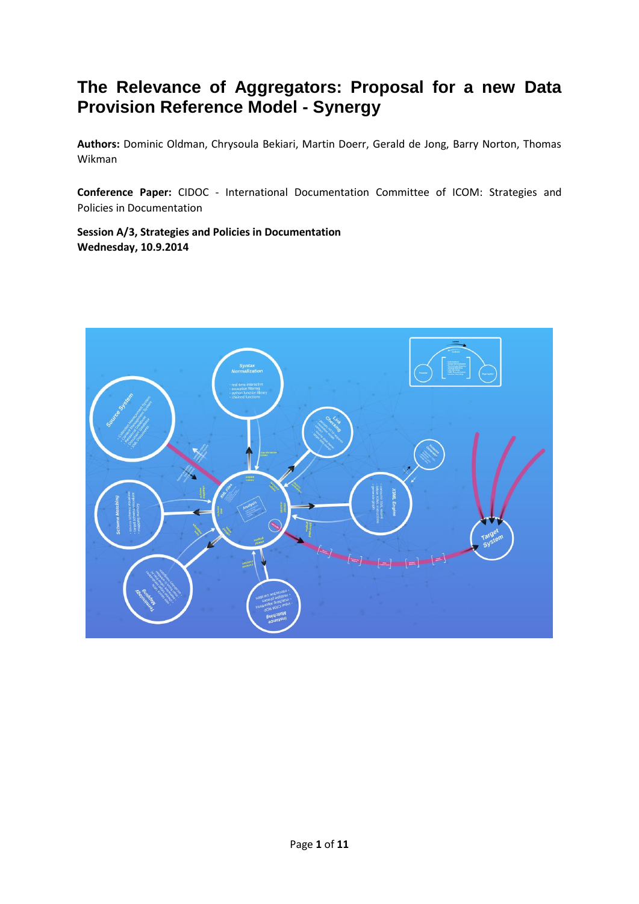# **The Relevance of Aggregators: Proposal for a new Data Provision Reference Model - Synergy**

**Authors:** Dominic Oldman, Chrysoula Bekiari, Martin Doerr, Gerald de Jong, Barry Norton, Thomas Wikman

**Conference Paper:** CIDOC - International Documentation Committee of ICOM: Strategies and Policies in Documentation

**Session A/3, Strategies and Policies in Documentation Wednesday, 10.9.2014**

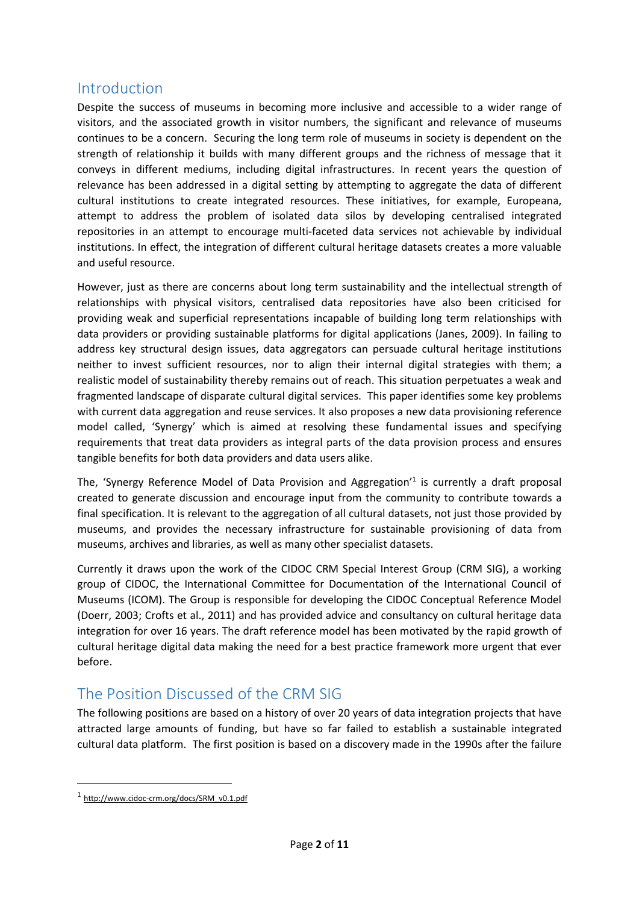### Introduction

Despite the success of museums in becoming more inclusive and accessible to a wider range of visitors, and the associated growth in visitor numbers, the significant and relevance of museums continues to be a concern. Securing the long term role of museums in society is dependent on the strength of relationship it builds with many different groups and the richness of message that it conveys in different mediums, including digital infrastructures. In recent years the question of relevance has been addressed in a digital setting by attempting to aggregate the data of different cultural institutions to create integrated resources. These initiatives, for example, Europeana, attempt to address the problem of isolated data silos by developing centralised integrated repositories in an attempt to encourage multi-faceted data services not achievable by individual institutions. In effect, the integration of different cultural heritage datasets creates a more valuable and useful resource.

However, just as there are concerns about long term sustainability and the intellectual strength of relationships with physical visitors, centralised data repositories have also been criticised for providing weak and superficial representations incapable of building long term relationships with data providers or providing sustainable platforms for digital applications (Janes, 2009). In failing to address key structural design issues, data aggregators can persuade cultural heritage institutions neither to invest sufficient resources, nor to align their internal digital strategies with them; a realistic model of sustainability thereby remains out of reach. This situation perpetuates a weak and fragmented landscape of disparate cultural digital services. This paper identifies some key problems with current data aggregation and reuse services. It also proposes a new data provisioning reference model called, 'Synergy' which is aimed at resolving these fundamental issues and specifying requirements that treat data providers as integral parts of the data provision process and ensures tangible benefits for both data providers and data users alike.

The, 'Synergy Reference Model of Data Provision and Aggregation' 1 is currently a draft proposal created to generate discussion and encourage input from the community to contribute towards a final specification. It is relevant to the aggregation of all cultural datasets, not just those provided by museums, and provides the necessary infrastructure for sustainable provisioning of data from museums, archives and libraries, as well as many other specialist datasets.

Currently it draws upon the work of the CIDOC CRM Special Interest Group (CRM SIG), a working group of CIDOC, the International Committee for Documentation of the International Council of Museums (ICOM). The Group is responsible for developing the CIDOC Conceptual Reference Model (Doerr, 2003; Crofts et al., 2011) and has provided advice and consultancy on cultural heritage data integration for over 16 years. The draft reference model has been motivated by the rapid growth of cultural heritage digital data making the need for a best practice framework more urgent that ever before.

## The Position Discussed of the CRM SIG

The following positions are based on a history of over 20 years of data integration projects that have attracted large amounts of funding, but have so far failed to establish a sustainable integrated cultural data platform. The first position is based on a discovery made in the 1990s after the failure

 $\overline{a}$ 

<sup>1</sup> [http://www.cidoc-crm.org/docs/SRM\\_v0.1.pdf](http://www.cidoc-crm.org/docs/SRM_v0.1.pdf)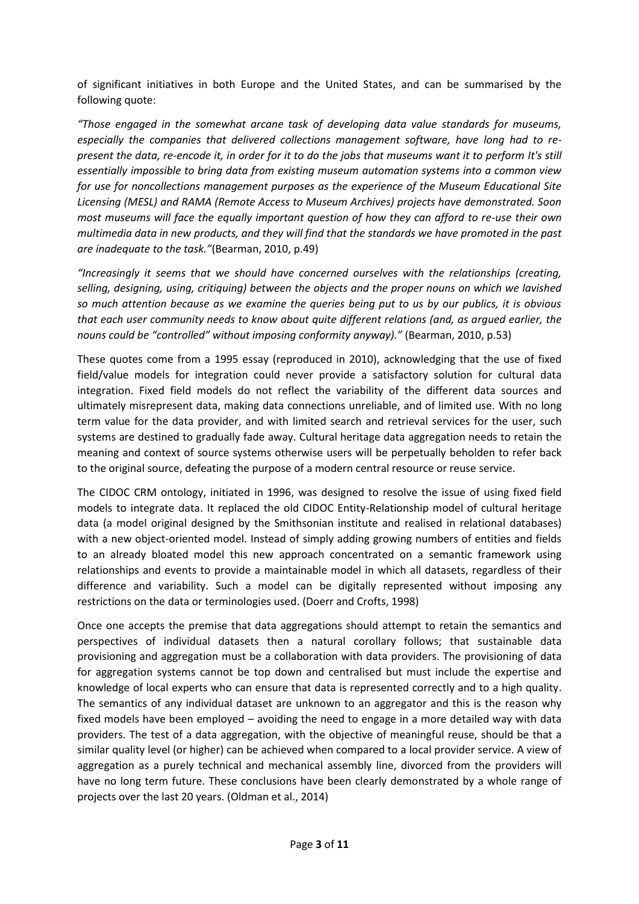of significant initiatives in both Europe and the United States, and can be summarised by the following quote:

*"Those engaged in the somewhat arcane task of developing data value standards for museums, especially the companies that delivered collections management software, have long had to represent the data, re-encode it, in order for it to do the jobs that museums want it to perform It's still essentially impossible to bring data from existing museum automation systems into a common view for use for noncollections management purposes as the experience of the Museum Educational Site Licensing (MESL) and RAMA (Remote Access to Museum Archives) projects have demonstrated. Soon most museums will face the equally important question of how they can afford to re-use their own multimedia data in new products, and they will find that the standards we have promoted in the past are inadequate to the task."*(Bearman, 2010, p.49)

*"Increasingly it seems that we should have concerned ourselves with the relationships (creating, selling, designing, using, critiquing) between the objects and the proper nouns on which we lavished so much attention because as we examine the queries being put to us by our publics, it is obvious that each user community needs to know about quite different relations (and, as argued earlier, the nouns could be "controlled" without imposing conformity anyway)."* (Bearman, 2010, p.53)

These quotes come from a 1995 essay (reproduced in 2010), acknowledging that the use of fixed field/value models for integration could never provide a satisfactory solution for cultural data integration. Fixed field models do not reflect the variability of the different data sources and ultimately misrepresent data, making data connections unreliable, and of limited use. With no long term value for the data provider, and with limited search and retrieval services for the user, such systems are destined to gradually fade away. Cultural heritage data aggregation needs to retain the meaning and context of source systems otherwise users will be perpetually beholden to refer back to the original source, defeating the purpose of a modern central resource or reuse service.

The CIDOC CRM ontology, initiated in 1996, was designed to resolve the issue of using fixed field models to integrate data. It replaced the old CIDOC Entity-Relationship model of cultural heritage data (a model original designed by the Smithsonian institute and realised in relational databases) with a new object-oriented model. Instead of simply adding growing numbers of entities and fields to an already bloated model this new approach concentrated on a semantic framework using relationships and events to provide a maintainable model in which all datasets, regardless of their difference and variability. Such a model can be digitally represented without imposing any restrictions on the data or terminologies used. (Doerr and Crofts, 1998)

Once one accepts the premise that data aggregations should attempt to retain the semantics and perspectives of individual datasets then a natural corollary follows; that sustainable data provisioning and aggregation must be a collaboration with data providers. The provisioning of data for aggregation systems cannot be top down and centralised but must include the expertise and knowledge of local experts who can ensure that data is represented correctly and to a high quality. The semantics of any individual dataset are unknown to an aggregator and this is the reason why fixed models have been employed – avoiding the need to engage in a more detailed way with data providers. The test of a data aggregation, with the objective of meaningful reuse, should be that a similar quality level (or higher) can be achieved when compared to a local provider service. A view of aggregation as a purely technical and mechanical assembly line, divorced from the providers will have no long term future. These conclusions have been clearly demonstrated by a whole range of projects over the last 20 years. (Oldman et al., 2014)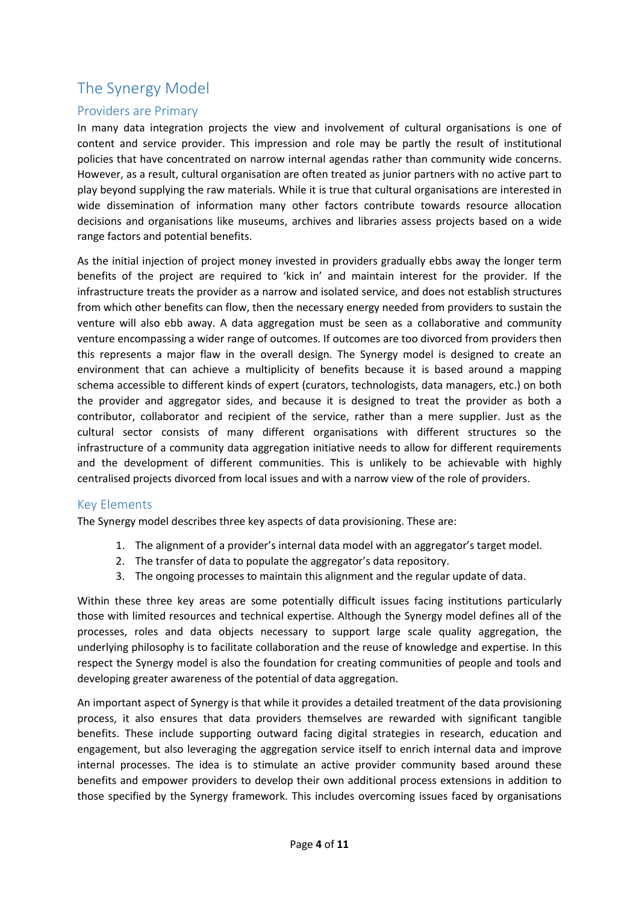# The Synergy Model

#### Providers are Primary

In many data integration projects the view and involvement of cultural organisations is one of content and service provider. This impression and role may be partly the result of institutional policies that have concentrated on narrow internal agendas rather than community wide concerns. However, as a result, cultural organisation are often treated as junior partners with no active part to play beyond supplying the raw materials. While it is true that cultural organisations are interested in wide dissemination of information many other factors contribute towards resource allocation decisions and organisations like museums, archives and libraries assess projects based on a wide range factors and potential benefits.

As the initial injection of project money invested in providers gradually ebbs away the longer term benefits of the project are required to 'kick in' and maintain interest for the provider. If the infrastructure treats the provider as a narrow and isolated service, and does not establish structures from which other benefits can flow, then the necessary energy needed from providers to sustain the venture will also ebb away. A data aggregation must be seen as a collaborative and community venture encompassing a wider range of outcomes. If outcomes are too divorced from providers then this represents a major flaw in the overall design. The Synergy model is designed to create an environment that can achieve a multiplicity of benefits because it is based around a mapping schema accessible to different kinds of expert (curators, technologists, data managers, etc.) on both the provider and aggregator sides, and because it is designed to treat the provider as both a contributor, collaborator and recipient of the service, rather than a mere supplier. Just as the cultural sector consists of many different organisations with different structures so the infrastructure of a community data aggregation initiative needs to allow for different requirements and the development of different communities. This is unlikely to be achievable with highly centralised projects divorced from local issues and with a narrow view of the role of providers.

#### Key Elements

The Synergy model describes three key aspects of data provisioning. These are:

- 1. The alignment of a provider's internal data model with an aggregator's target model.
- 2. The transfer of data to populate the aggregator's data repository.
- 3. The ongoing processes to maintain this alignment and the regular update of data.

Within these three key areas are some potentially difficult issues facing institutions particularly those with limited resources and technical expertise. Although the Synergy model defines all of the processes, roles and data objects necessary to support large scale quality aggregation, the underlying philosophy is to facilitate collaboration and the reuse of knowledge and expertise. In this respect the Synergy model is also the foundation for creating communities of people and tools and developing greater awareness of the potential of data aggregation.

An important aspect of Synergy is that while it provides a detailed treatment of the data provisioning process, it also ensures that data providers themselves are rewarded with significant tangible benefits. These include supporting outward facing digital strategies in research, education and engagement, but also leveraging the aggregation service itself to enrich internal data and improve internal processes. The idea is to stimulate an active provider community based around these benefits and empower providers to develop their own additional process extensions in addition to those specified by the Synergy framework. This includes overcoming issues faced by organisations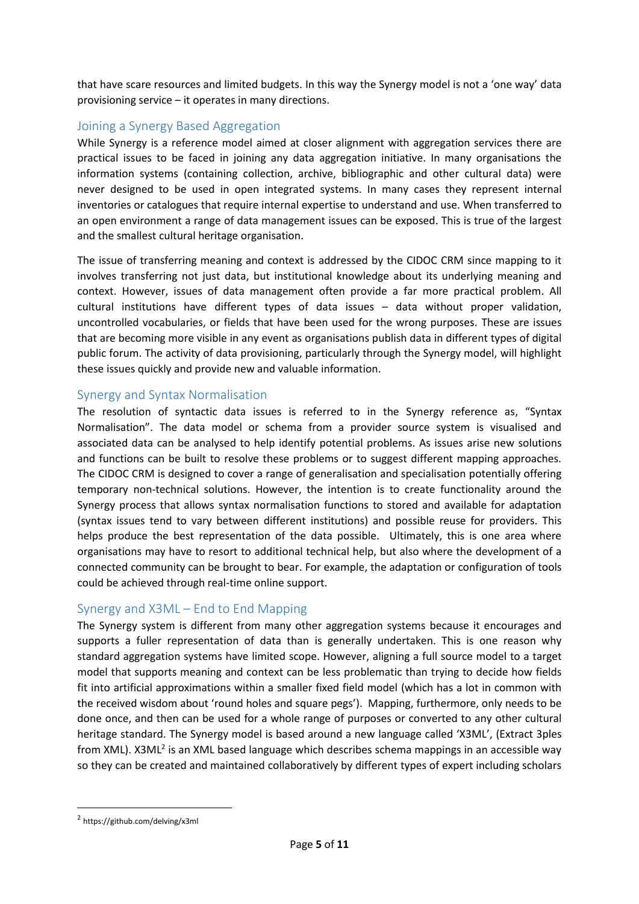that have scare resources and limited budgets. In this way the Synergy model is not a 'one way' data provisioning service – it operates in many directions.

#### Joining a Synergy Based Aggregation

While Synergy is a reference model aimed at closer alignment with aggregation services there are practical issues to be faced in joining any data aggregation initiative. In many organisations the information systems (containing collection, archive, bibliographic and other cultural data) were never designed to be used in open integrated systems. In many cases they represent internal inventories or catalogues that require internal expertise to understand and use. When transferred to an open environment a range of data management issues can be exposed. This is true of the largest and the smallest cultural heritage organisation.

The issue of transferring meaning and context is addressed by the CIDOC CRM since mapping to it involves transferring not just data, but institutional knowledge about its underlying meaning and context. However, issues of data management often provide a far more practical problem. All cultural institutions have different types of data issues – data without proper validation, uncontrolled vocabularies, or fields that have been used for the wrong purposes. These are issues that are becoming more visible in any event as organisations publish data in different types of digital public forum. The activity of data provisioning, particularly through the Synergy model, will highlight these issues quickly and provide new and valuable information.

#### Synergy and Syntax Normalisation

The resolution of syntactic data issues is referred to in the Synergy reference as, "Syntax Normalisation". The data model or schema from a provider source system is visualised and associated data can be analysed to help identify potential problems. As issues arise new solutions and functions can be built to resolve these problems or to suggest different mapping approaches. The CIDOC CRM is designed to cover a range of generalisation and specialisation potentially offering temporary non-technical solutions. However, the intention is to create functionality around the Synergy process that allows syntax normalisation functions to stored and available for adaptation (syntax issues tend to vary between different institutions) and possible reuse for providers. This helps produce the best representation of the data possible. Ultimately, this is one area where organisations may have to resort to additional technical help, but also where the development of a connected community can be brought to bear. For example, the adaptation or configuration of tools could be achieved through real-time online support.

#### Synergy and X3ML – End to End Mapping

The Synergy system is different from many other aggregation systems because it encourages and supports a fuller representation of data than is generally undertaken. This is one reason why standard aggregation systems have limited scope. However, aligning a full source model to a target model that supports meaning and context can be less problematic than trying to decide how fields fit into artificial approximations within a smaller fixed field model (which has a lot in common with the received wisdom about 'round holes and square pegs'). Mapping, furthermore, only needs to be done once, and then can be used for a whole range of purposes or converted to any other cultural heritage standard. The Synergy model is based around a new language called 'X3ML', (Extract 3ples from XML). X3ML<sup>2</sup> is an XML based language which describes schema mappings in an accessible way so they can be created and maintained collaboratively by different types of expert including scholars

**.** 

<sup>2</sup> https://github.com/delving/x3ml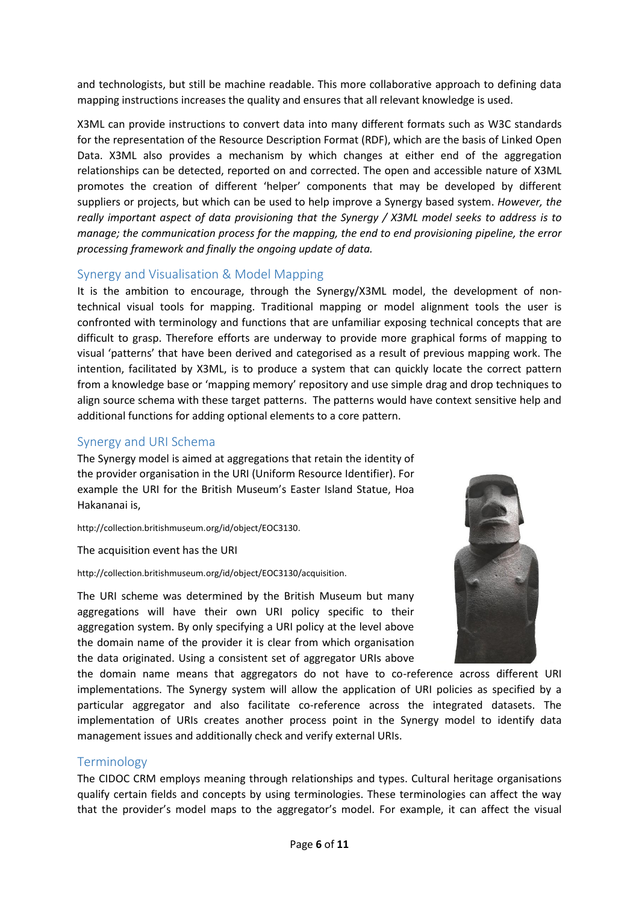and technologists, but still be machine readable. This more collaborative approach to defining data mapping instructions increases the quality and ensures that all relevant knowledge is used.

X3ML can provide instructions to convert data into many different formats such as W3C standards for the representation of the Resource Description Format (RDF), which are the basis of Linked Open Data. X3ML also provides a mechanism by which changes at either end of the aggregation relationships can be detected, reported on and corrected. The open and accessible nature of X3ML promotes the creation of different 'helper' components that may be developed by different suppliers or projects, but which can be used to help improve a Synergy based system. *However, the really important aspect of data provisioning that the Synergy / X3ML model seeks to address is to manage; the communication process for the mapping, the end to end provisioning pipeline, the error processing framework and finally the ongoing update of data.*

#### Synergy and Visualisation & Model Mapping

It is the ambition to encourage, through the Synergy/X3ML model, the development of nontechnical visual tools for mapping. Traditional mapping or model alignment tools the user is confronted with terminology and functions that are unfamiliar exposing technical concepts that are difficult to grasp. Therefore efforts are underway to provide more graphical forms of mapping to visual 'patterns' that have been derived and categorised as a result of previous mapping work. The intention, facilitated by X3ML, is to produce a system that can quickly locate the correct pattern from a knowledge base or 'mapping memory' repository and use simple drag and drop techniques to align source schema with these target patterns. The patterns would have context sensitive help and additional functions for adding optional elements to a core pattern.

#### Synergy and URI Schema

The Synergy model is aimed at aggregations that retain the identity of the provider organisation in the URI (Uniform Resource Identifier). For example the URI for the British Museum's Easter Island Statue, Hoa Hakananai is,

[http://collection.britishmuseum.org/id/object/EOC3130.](http://collection.britishmuseum.org/resource?uri=http%3A%2F%2Fcollection.britishmuseum.org%2Fid%2Fobject%2FEOC3130)

#### The acquisition event has the URI

[http://collection.britishmuseum.org/id/object/EOC3130/acquisition.](http://collection.britishmuseum.org/resource?uri=http%3A%2F%2Fcollection.britishmuseum.org%2Fid%2Fobject%2FEOC3130%2Facquisition)

The URI scheme was determined by the British Museum but many aggregations will have their own URI policy specific to their aggregation system. By only specifying a URI policy at the level above the domain name of the provider it is clear from which organisation the data originated. Using a consistent set of aggregator URIs above



the domain name means that aggregators do not have to co-reference across different URI implementations. The Synergy system will allow the application of URI policies as specified by a particular aggregator and also facilitate co-reference across the integrated datasets. The implementation of URIs creates another process point in the Synergy model to identify data management issues and additionally check and verify external URIs.

#### **Terminology**

The CIDOC CRM employs meaning through relationships and types. Cultural heritage organisations qualify certain fields and concepts by using terminologies. These terminologies can affect the way that the provider's model maps to the aggregator's model. For example, it can affect the visual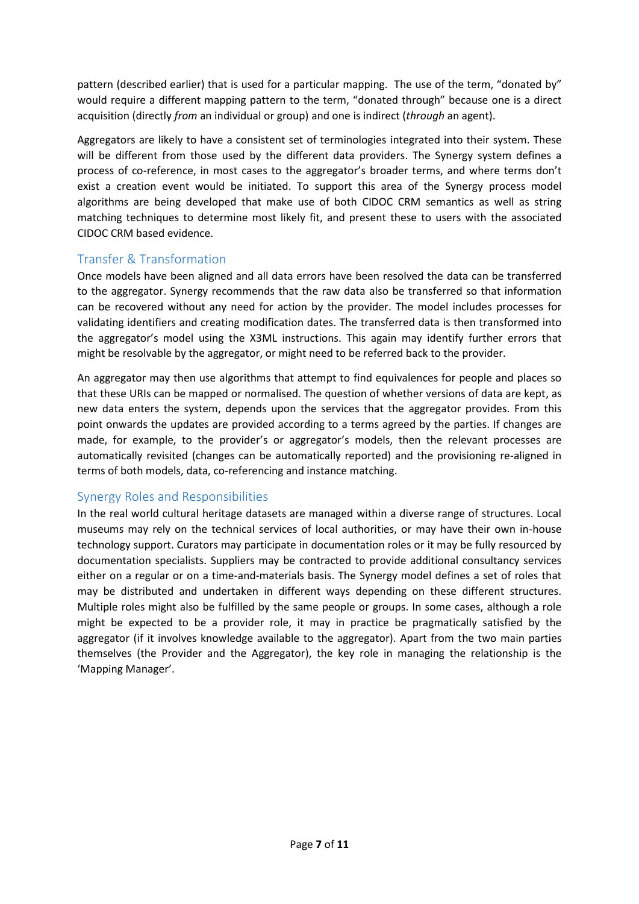pattern (described earlier) that is used for a particular mapping. The use of the term, "donated by" would require a different mapping pattern to the term, "donated through" because one is a direct acquisition (directly *from* an individual or group) and one is indirect (*through* an agent).

Aggregators are likely to have a consistent set of terminologies integrated into their system. These will be different from those used by the different data providers. The Synergy system defines a process of co-reference, in most cases to the aggregator's broader terms, and where terms don't exist a creation event would be initiated. To support this area of the Synergy process model algorithms are being developed that make use of both CIDOC CRM semantics as well as string matching techniques to determine most likely fit, and present these to users with the associated CIDOC CRM based evidence.

#### Transfer & Transformation

Once models have been aligned and all data errors have been resolved the data can be transferred to the aggregator. Synergy recommends that the raw data also be transferred so that information can be recovered without any need for action by the provider. The model includes processes for validating identifiers and creating modification dates. The transferred data is then transformed into the aggregator's model using the X3ML instructions. This again may identify further errors that might be resolvable by the aggregator, or might need to be referred back to the provider.

An aggregator may then use algorithms that attempt to find equivalences for people and places so that these URIs can be mapped or normalised. The question of whether versions of data are kept, as new data enters the system, depends upon the services that the aggregator provides. From this point onwards the updates are provided according to a terms agreed by the parties. If changes are made, for example, to the provider's or aggregator's models, then the relevant processes are automatically revisited (changes can be automatically reported) and the provisioning re-aligned in terms of both models, data, co-referencing and instance matching.

#### Synergy Roles and Responsibilities

In the real world cultural heritage datasets are managed within a diverse range of structures. Local museums may rely on the technical services of local authorities, or may have their own in-house technology support. Curators may participate in documentation roles or it may be fully resourced by documentation specialists. Suppliers may be contracted to provide additional consultancy services either on a regular or on a time-and-materials basis. The Synergy model defines a set of roles that may be distributed and undertaken in different ways depending on these different structures. Multiple roles might also be fulfilled by the same people or groups. In some cases, although a role might be expected to be a provider role, it may in practice be pragmatically satisfied by the aggregator (if it involves knowledge available to the aggregator). Apart from the two main parties themselves (the Provider and the Aggregator), the key role in managing the relationship is the 'Mapping Manager'.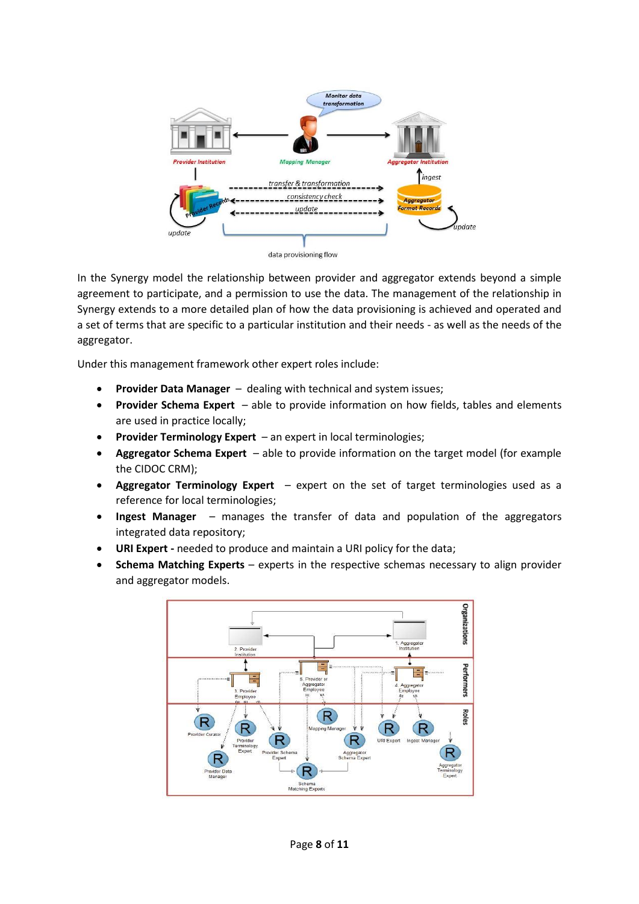

data provisioning flow

In the Synergy model the relationship between provider and aggregator extends beyond a simple agreement to participate, and a permission to use the data. The management of the relationship in Synergy extends to a more detailed plan of how the data provisioning is achieved and operated and a set of terms that are specific to a particular institution and their needs - as well as the needs of the aggregator.

Under this management framework other expert roles include:

- **Provider Data Manager** dealing with technical and system issues;
- **Provider Schema Expert** able to provide information on how fields, tables and elements are used in practice locally;
- **Provider Terminology Expert** an expert in local terminologies;
- **Aggregator Schema Expert** able to provide information on the target model (for example the CIDOC CRM);
- **Aggregator Terminology Expert** expert on the set of target terminologies used as a reference for local terminologies;
- **Ingest Manager** manages the transfer of data and population of the aggregators integrated data repository;
- **URI Expert -** needed to produce and maintain a URI policy for the data;
- **Schema Matching Experts** experts in the respective schemas necessary to align provider and aggregator models.

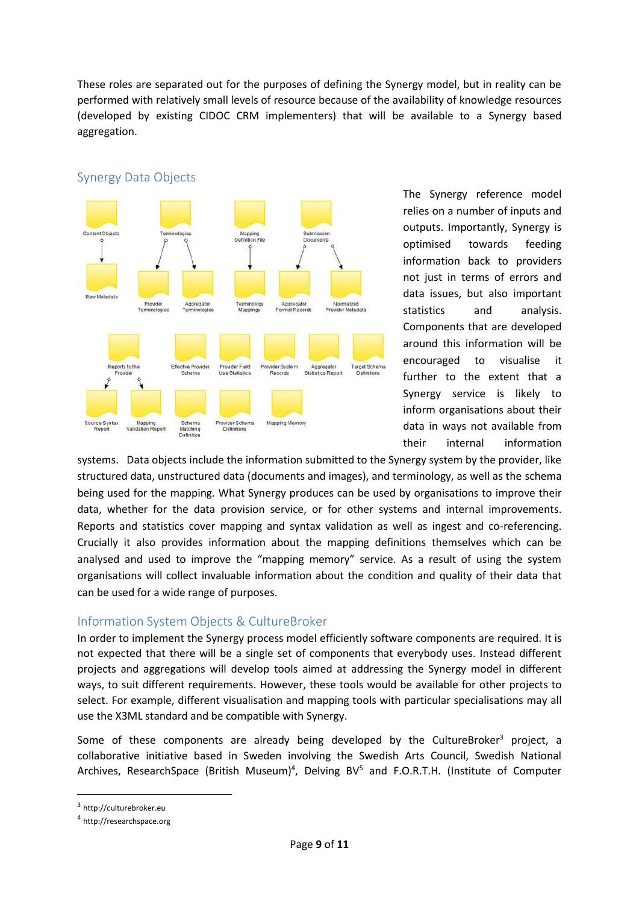These roles are separated out for the purposes of defining the Synergy model, but in reality can be performed with relatively small levels of resource because of the availability of knowledge resources (developed by existing CIDOC CRM implementers) that will be available to a Synergy based aggregation.



#### Synergy Data Objects

The Synergy reference model relies on a number of inputs and outputs. Importantly, Synergy is optimised towards feeding information back to providers not just in terms of errors and data issues, but also important statistics and analysis. Components that are developed around this information will be encouraged to visualise it further to the extent that a Synergy service is likely to inform organisations about their data in ways not available from their internal information

systems. Data objects include the information submitted to the Synergy system by the provider, like structured data, unstructured data (documents and images), and terminology, as well as the schema being used for the mapping. What Synergy produces can be used by organisations to improve their data, whether for the data provision service, or for other systems and internal improvements. Reports and statistics cover mapping and syntax validation as well as ingest and co-referencing. Crucially it also provides information about the mapping definitions themselves which can be analysed and used to improve the "mapping memory" service. As a result of using the system organisations will collect invaluable information about the condition and quality of their data that can be used for a wide range of purposes.

#### Information System Objects & CultureBroker

In order to implement the Synergy process model efficiently software components are required. It is not expected that there will be a single set of components that everybody uses. Instead different projects and aggregations will develop tools aimed at addressing the Synergy model in different ways, to suit different requirements. However, these tools would be available for other projects to select. For example, different visualisation and mapping tools with particular specialisations may all use the X3ML standard and be compatible with Synergy.

Some of these components are already being developed by the CultureBroker<sup>3</sup> project, a collaborative initiative based in Sweden involving the Swedish Arts Council, Swedish National Archives, ResearchSpace (British Museum)<sup>4</sup>, Delving BV<sup>5</sup> and F.O.R.T.H. (Institute of Computer

1

<sup>&</sup>lt;sup>3</sup> http://culturebroker.eu

<sup>4</sup> http://researchspace.org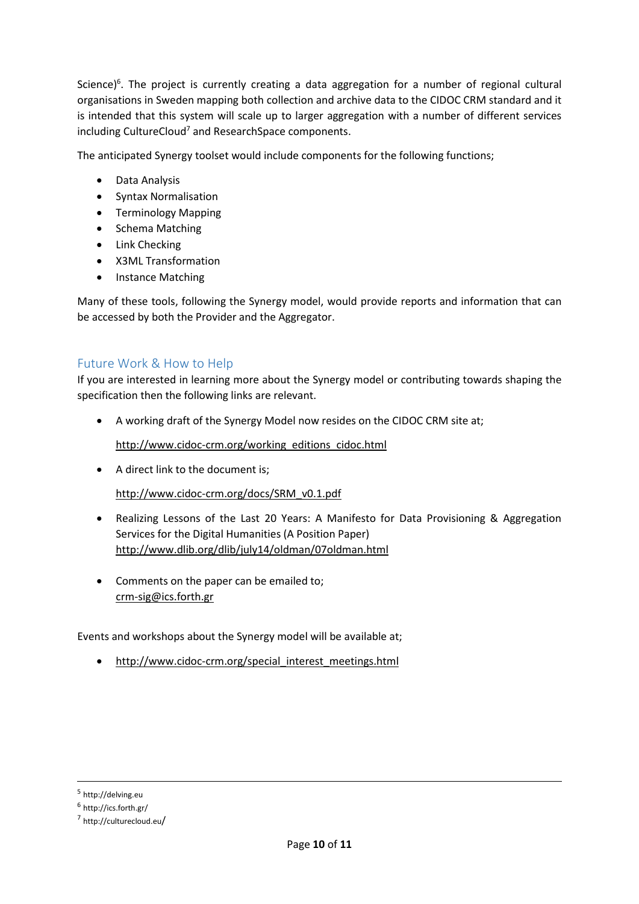Science)<sup>6</sup>. The project is currently creating a data aggregation for a number of regional cultural organisations in Sweden mapping both collection and archive data to the CIDOC CRM standard and it is intended that this system will scale up to larger aggregation with a number of different services including CultureCloud<sup>7</sup> and ResearchSpace components.

The anticipated Synergy toolset would include components for the following functions;

- Data Analysis
- Syntax Normalisation
- Terminology Mapping
- Schema Matching
- Link Checking
- X3ML Transformation
- Instance Matching

Many of these tools, following the Synergy model, would provide reports and information that can be accessed by both the Provider and the Aggregator.

#### Future Work & How to Help

If you are interested in learning more about the Synergy model or contributing towards shaping the specification then the following links are relevant.

A working draft of the Synergy Model now resides on the CIDOC CRM site at;

[http://www.cidoc-crm.org/working\\_editions\\_cidoc.html](http://www.cidoc-crm.org/working_editions_cidoc.html)

A direct link to the document is;

[http://www.cidoc-crm.org/docs/SRM\\_v0.1.pdf](http://www.cidoc-crm.org/docs/SRM_v0.1.pdf)

- Realizing Lessons of the Last 20 Years: A Manifesto for Data Provisioning & Aggregation Services for the Digital Humanities (A Position Paper) <http://www.dlib.org/dlib/july14/oldman/07oldman.html>
- Comments on the paper can be emailed to; [crm-sig@ics.forth.gr](mailto:crm-sig@ics.forth.gr)

Events and workshops about the Synergy model will be available at;

• [http://www.cidoc-crm.org/special\\_interest\\_meetings.html](http://www.cidoc-crm.org/special_interest_meetings.html)

**.** 

<sup>&</sup>lt;sup>5</sup> http://delving.eu

<sup>&</sup>lt;sup>6</sup> http://ics.forth.gr/

<sup>7</sup> http://culturecloud.eu/